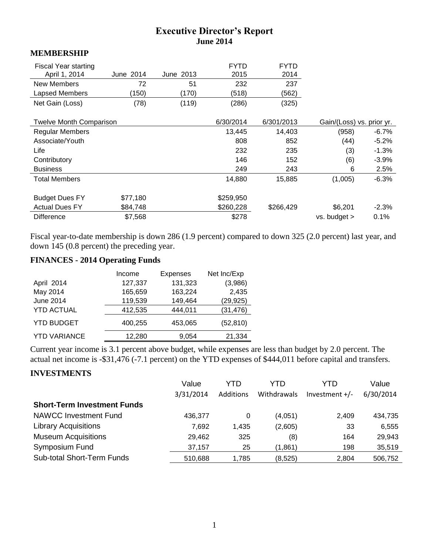# **Executive Director's Report June 2014**

#### **MEMBERSHIP**

| <b>Fiscal Year starting</b><br>April 1, 2014 | June 2014 | June 2013 | <b>FYTD</b><br>2015 | <b>FYTD</b><br>2014 |                           |          |
|----------------------------------------------|-----------|-----------|---------------------|---------------------|---------------------------|----------|
| New Members                                  | 72        | 51        | 232                 | 237                 |                           |          |
| Lapsed Members                               | (150)     | (170)     | (518)               | (562)               |                           |          |
| Net Gain (Loss)                              | (78)      | (119)     | (286)               | (325)               |                           |          |
| <b>Twelve Month Comparison</b>               |           |           | 6/30/2014           | 6/301/2013          | Gain/(Loss) vs. prior yr. |          |
|                                              |           |           |                     |                     |                           |          |
| <b>Regular Members</b>                       |           |           | 13,445              | 14,403              | (958)                     | $-6.7\%$ |
| Associate/Youth                              |           |           | 808                 | 852                 | (44)                      | $-5.2%$  |
| Life                                         |           |           | 232                 | 235                 | (3)                       | $-1.3%$  |
| Contributory                                 |           |           | 146                 | 152                 | (6)                       | $-3.9%$  |
| <b>Business</b>                              |           |           | 249                 | 243                 | 6                         | 2.5%     |
| <b>Total Members</b>                         |           |           | 14,880              | 15,885              | (1,005)                   | $-6.3%$  |
| <b>Budget Dues FY</b>                        | \$77,180  |           | \$259,950           |                     |                           |          |
| <b>Actual Dues FY</b>                        | \$84,748  |           | \$260,228           | \$266,429           | \$6,201                   | $-2.3%$  |
| <b>Difference</b>                            | \$7,568   |           | \$278               |                     | vs. budget >              | 0.1%     |

Fiscal year-to-date membership is down 286 (1.9 percent) compared to down 325 (2.0 percent) last year, and down 145 (0.8 percent) the preceding year.

# **FINANCES - 2014 Operating Funds**

|                     | Income  | <b>Expenses</b> | Net Inc/Exp |
|---------------------|---------|-----------------|-------------|
| April 2014          | 127,337 | 131,323         | (3,986)     |
| May 2014            | 165,659 | 163,224         | 2,435       |
| June 2014           | 119,539 | 149,464         | (29, 925)   |
| <b>YTD ACTUAL</b>   | 412,535 | 444,011         | (31, 476)   |
| <b>YTD BUDGET</b>   | 400,255 | 453,065         | (52, 810)   |
| <b>YTD VARIANCE</b> | 12,280  | 9.054           | 21,334      |

Current year income is 3.1 percent above budget, while expenses are less than budget by 2.0 percent. The actual net income is -\$31,476 (-7.1 percent) on the YTD expenses of \$444,011 before capital and transfers.

## **INVESTMENTS**

|                                    | Value     | YTD       | YTD         | YTD              | Value     |
|------------------------------------|-----------|-----------|-------------|------------------|-----------|
|                                    | 3/31/2014 | Additions | Withdrawals | Investment $+/-$ | 6/30/2014 |
| <b>Short-Term Investment Funds</b> |           |           |             |                  |           |
| <b>NAWCC Investment Fund</b>       | 436.377   | 0         | (4,051)     | 2,409            | 434,735   |
| <b>Library Acquisitions</b>        | 7,692     | 1.435     | (2,605)     | 33               | 6,555     |
| <b>Museum Acquisitions</b>         | 29,462    | 325       | (8)         | 164              | 29,943    |
| Symposium Fund                     | 37,157    | 25        | (1,861)     | 198              | 35,519    |
| <b>Sub-total Short-Term Funds</b>  | 510,688   | 1.785     | (8,525)     | 2.804            | 506,752   |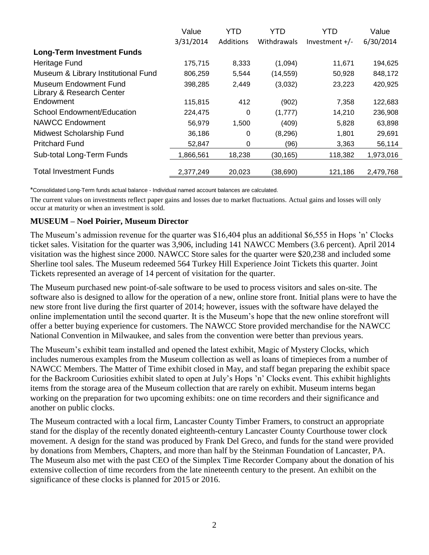|                                                           | Value     | YTD       | YTD         | YTD              | Value     |
|-----------------------------------------------------------|-----------|-----------|-------------|------------------|-----------|
|                                                           | 3/31/2014 | Additions | Withdrawals | Investment $+/-$ | 6/30/2014 |
| <b>Long-Term Investment Funds</b>                         |           |           |             |                  |           |
| Heritage Fund                                             | 175,715   | 8,333     | (1,094)     | 11,671           | 194,625   |
| Museum & Library Institutional Fund                       | 806,259   | 5,544     | (14, 559)   | 50,928           | 848,172   |
| <b>Museum Endowment Fund</b><br>Library & Research Center | 398,285   | 2,449     | (3,032)     | 23,223           | 420,925   |
| Endowment                                                 | 115,815   | 412       | (902)       | 7,358            | 122,683   |
| School Endowment/Education                                | 224,475   | 0         | (1,777)     | 14,210           | 236,908   |
| NAWCC Endowment                                           | 56,979    | 1,500     | (409)       | 5,828            | 63,898    |
| Midwest Scholarship Fund                                  | 36,186    | $\Omega$  | (8, 296)    | 1,801            | 29,691    |
| <b>Pritchard Fund</b>                                     | 52,847    | 0         | (96)        | 3,363            | 56,114    |
| Sub-total Long-Term Funds                                 | 1,866,561 | 18,238    | (30, 165)   | 118,382          | 1,973,016 |
| <b>Total Investment Funds</b>                             | 2,377,249 | 20,023    | (38,690)    | 121,186          | 2,479,768 |

\*Consolidated Long-Term funds actual balance - Individual named account balances are calculated.

The current values on investments reflect paper gains and losses due to market fluctuations. Actual gains and losses will only occur at maturity or when an investment is sold.

#### **MUSEUM – Noel Poirier, Museum Director**

The Museum's admission revenue for the quarter was \$16,404 plus an additional \$6,555 in Hops 'n' Clocks ticket sales. Visitation for the quarter was 3,906, including 141 NAWCC Members (3.6 percent). April 2014 visitation was the highest since 2000. NAWCC Store sales for the quarter were \$20,238 and included some Sherline tool sales. The Museum redeemed 564 Turkey Hill Experience Joint Tickets this quarter. Joint Tickets represented an average of 14 percent of visitation for the quarter.

The Museum purchased new point-of-sale software to be used to process visitors and sales on-site. The software also is designed to allow for the operation of a new, online store front. Initial plans were to have the new store front live during the first quarter of 2014; however, issues with the software have delayed the online implementation until the second quarter. It is the Museum's hope that the new online storefront will offer a better buying experience for customers. The NAWCC Store provided merchandise for the NAWCC National Convention in Milwaukee, and sales from the convention were better than previous years.

The Museum's exhibit team installed and opened the latest exhibit, Magic of Mystery Clocks, which includes numerous examples from the Museum collection as well as loans of timepieces from a number of NAWCC Members. The Matter of Time exhibit closed in May, and staff began preparing the exhibit space for the Backroom Curiosities exhibit slated to open at July's Hops 'n' Clocks event. This exhibit highlights items from the storage area of the Museum collection that are rarely on exhibit. Museum interns began working on the preparation for two upcoming exhibits: one on time recorders and their significance and another on public clocks.

The Museum contracted with a local firm, Lancaster County Timber Framers, to construct an appropriate stand for the display of the recently donated eighteenth-century Lancaster County Courthouse tower clock movement. A design for the stand was produced by Frank Del Greco, and funds for the stand were provided by donations from Members, Chapters, and more than half by the Steinman Foundation of Lancaster, PA. The Museum also met with the past CEO of the Simplex Time Recorder Company about the donation of his extensive collection of time recorders from the late nineteenth century to the present. An exhibit on the significance of these clocks is planned for 2015 or 2016.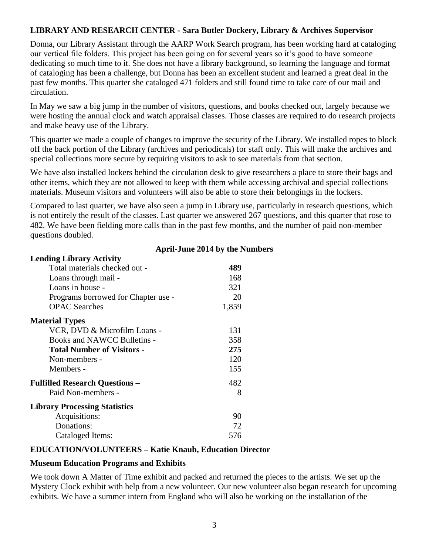# **LIBRARY AND RESEARCH CENTER - Sara Butler Dockery, Library & Archives Supervisor**

Donna, our Library Assistant through the AARP Work Search program, has been working hard at cataloging our vertical file folders. This project has been going on for several years so it's good to have someone dedicating so much time to it. She does not have a library background, so learning the language and format of cataloging has been a challenge, but Donna has been an excellent student and learned a great deal in the past few months. This quarter she cataloged 471 folders and still found time to take care of our mail and circulation.

In May we saw a big jump in the number of visitors, questions, and books checked out, largely because we were hosting the annual clock and watch appraisal classes. Those classes are required to do research projects and make heavy use of the Library.

This quarter we made a couple of changes to improve the security of the Library. We installed ropes to block off the back portion of the Library (archives and periodicals) for staff only. This will make the archives and special collections more secure by requiring visitors to ask to see materials from that section.

We have also installed lockers behind the circulation desk to give researchers a place to store their bags and other items, which they are not allowed to keep with them while accessing archival and special collections materials. Museum visitors and volunteers will also be able to store their belongings in the lockers.

Compared to last quarter, we have also seen a jump in Library use, particularly in research questions, which is not entirely the result of the classes. Last quarter we answered 267 questions, and this quarter that rose to 482. We have been fielding more calls than in the past few months, and the number of paid non-member questions doubled.

| <b>Lending Library Activity</b>       |       |
|---------------------------------------|-------|
| Total materials checked out -         | 489   |
| Loans through mail -                  | 168   |
| Loans in house -                      | 321   |
| Programs borrowed for Chapter use -   | 20    |
| <b>OPAC</b> Searches                  | 1,859 |
| <b>Material Types</b>                 |       |
| VCR, DVD & Microfilm Loans -          | 131   |
| Books and NAWCC Bulletins -           | 358   |
| <b>Total Number of Visitors -</b>     | 275   |
| Non-members -                         | 120   |
| Members -                             | 155   |
| <b>Fulfilled Research Questions -</b> | 482   |
| Paid Non-members -                    | 8     |
| <b>Library Processing Statistics</b>  |       |
| Acquisitions:                         | 90    |
| Donations:                            | 72    |
| Cataloged Items:                      | 576   |

## **April-June 2014 by the Numbers**

## **EDUCATION/VOLUNTEERS – Katie Knaub, Education Director**

#### **Museum Education Programs and Exhibits**

We took down A Matter of Time exhibit and packed and returned the pieces to the artists. We set up the Mystery Clock exhibit with help from a new volunteer. Our new volunteer also began research for upcoming exhibits. We have a summer intern from England who will also be working on the installation of the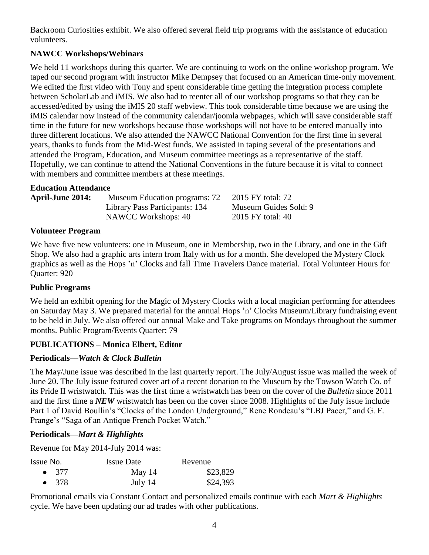Backroom Curiosities exhibit. We also offered several field trip programs with the assistance of education volunteers.

# **NAWCC Workshops/Webinars**

We held 11 workshops during this quarter. We are continuing to work on the online workshop program. We taped our second program with instructor Mike Dempsey that focused on an American time-only movement. We edited the first video with Tony and spent considerable time getting the integration process complete between ScholarLab and iMIS. We also had to reenter all of our workshop programs so that they can be accessed/edited by using the iMIS 20 staff webview. This took considerable time because we are using the iMIS calendar now instead of the community calendar/joomla webpages, which will save considerable staff time in the future for new workshops because those workshops will not have to be entered manually into three different locations. We also attended the NAWCC National Convention for the first time in several years, thanks to funds from the Mid-West funds. We assisted in taping several of the presentations and attended the Program, Education, and Museum committee meetings as a representative of the staff. Hopefully, we can continue to attend the National Conventions in the future because it is vital to connect with members and committee members at these meetings.

# **Education Attendance**

| <b>April-June 2014:</b> | Museum Education programs: 72  | 2015 FY total: 72     |
|-------------------------|--------------------------------|-----------------------|
|                         | Library Pass Participants: 134 | Museum Guides Sold: 9 |
|                         | NAWCC Workshops: 40            | 2015 FY total: 40     |

# **Volunteer Program**

We have five new volunteers: one in Museum, one in Membership, two in the Library, and one in the Gift Shop. We also had a graphic arts intern from Italy with us for a month. She developed the Mystery Clock graphics as well as the Hops 'n' Clocks and fall Time Travelers Dance material. Total Volunteer Hours for Quarter: 920

# **Public Programs**

We held an exhibit opening for the Magic of Mystery Clocks with a local magician performing for attendees on Saturday May 3. We prepared material for the annual Hops 'n' Clocks Museum/Library fundraising event to be held in July. We also offered our annual Make and Take programs on Mondays throughout the summer months. Public Program/Events Quarter: 79

# **PUBLICATIONS – Monica Elbert, Editor**

# **Periodicals—***Watch & Clock Bulletin*

The May/June issue was described in the last quarterly report. The July/August issue was mailed the week of June 20. The July issue featured cover art of a recent donation to the Museum by the Towson Watch Co. of its Pride II wristwatch. This was the first time a wristwatch has been on the cover of the *Bulletin* since 2011 and the first time a *NEW* wristwatch has been on the cover since 2008. Highlights of the July issue include Part 1 of David Boullin's "Clocks of the London Underground," Rene Rondeau's "LBJ Pacer," and G. F. Prange's "Saga of an Antique French Pocket Watch."

# **Periodicals—***Mart & Highlights*

Revenue for May 2014-July 2014 was:

| Issue No.     | <b>Issue Date</b> | Revenue  |
|---------------|-------------------|----------|
| $\bullet$ 377 | May $14$          | \$23,829 |
| $\bullet$ 378 | July 14           | \$24,393 |

Promotional emails via Constant Contact and personalized emails continue with each *Mart & Highlights* cycle. We have been updating our ad trades with other publications.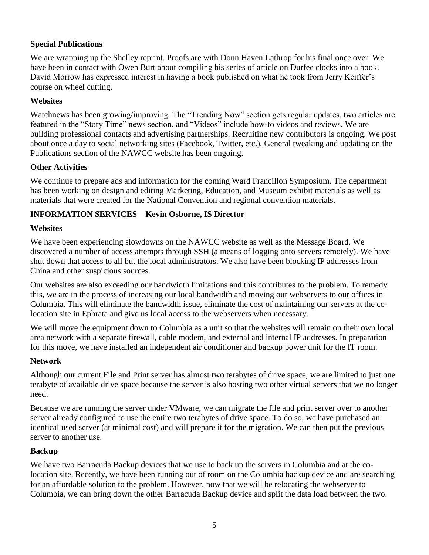# **Special Publications**

We are wrapping up the Shelley reprint. Proofs are with Donn Haven Lathrop for his final once over. We have been in contact with Owen Burt about compiling his series of article on Durfee clocks into a book. David Morrow has expressed interest in having a book published on what he took from Jerry Keiffer's course on wheel cutting.

#### **Websites**

Watchnews has been growing/improving. The "Trending Now" section gets regular updates, two articles are featured in the "Story Time" news section, and "Videos" include how-to videos and reviews. We are building professional contacts and advertising partnerships. Recruiting new contributors is ongoing. We post about once a day to social networking sites (Facebook, Twitter, etc.). General tweaking and updating on the Publications section of the NAWCC website has been ongoing.

## **Other Activities**

We continue to prepare ads and information for the coming Ward Francillon Symposium. The department has been working on design and editing Marketing, Education, and Museum exhibit materials as well as materials that were created for the National Convention and regional convention materials.

# **INFORMATION SERVICES – Kevin Osborne, IS Director**

## **Websites**

We have been experiencing slowdowns on the NAWCC website as well as the Message Board. We discovered a number of access attempts through SSH (a means of logging onto servers remotely). We have shut down that access to all but the local administrators. We also have been blocking IP addresses from China and other suspicious sources.

Our websites are also exceeding our bandwidth limitations and this contributes to the problem. To remedy this, we are in the process of increasing our local bandwidth and moving our webservers to our offices in Columbia. This will eliminate the bandwidth issue, eliminate the cost of maintaining our servers at the colocation site in Ephrata and give us local access to the webservers when necessary.

We will move the equipment down to Columbia as a unit so that the websites will remain on their own local area network with a separate firewall, cable modem, and external and internal IP addresses. In preparation for this move, we have installed an independent air conditioner and backup power unit for the IT room.

## **Network**

Although our current File and Print server has almost two terabytes of drive space, we are limited to just one terabyte of available drive space because the server is also hosting two other virtual servers that we no longer need.

Because we are running the server under VMware, we can migrate the file and print server over to another server already configured to use the entire two terabytes of drive space. To do so, we have purchased an identical used server (at minimal cost) and will prepare it for the migration. We can then put the previous server to another use.

## **Backup**

We have two Barracuda Backup devices that we use to back up the servers in Columbia and at the colocation site. Recently, we have been running out of room on the Columbia backup device and are searching for an affordable solution to the problem. However, now that we will be relocating the webserver to Columbia, we can bring down the other Barracuda Backup device and split the data load between the two.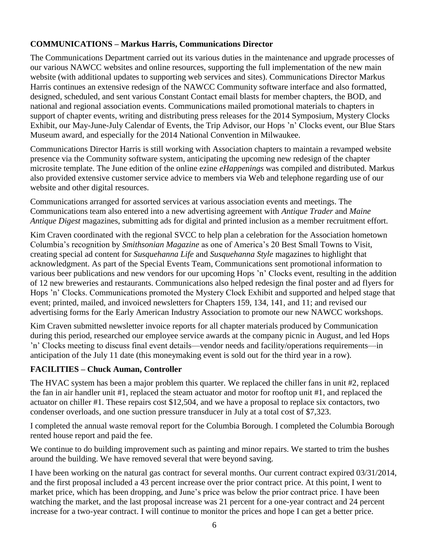# **COMMUNICATIONS – Markus Harris, Communications Director**

The Communications Department carried out its various duties in the maintenance and upgrade processes of our various NAWCC websites and online resources, supporting the full implementation of the new main website (with additional updates to supporting web services and sites). Communications Director Markus Harris continues an extensive redesign of the NAWCC Community software interface and also formatted, designed, scheduled, and sent various Constant Contact email blasts for member chapters, the BOD, and national and regional association events. Communications mailed promotional materials to chapters in support of chapter events, writing and distributing press releases for the 2014 Symposium, Mystery Clocks Exhibit, our May-June-July Calendar of Events, the Trip Advisor, our Hops 'n' Clocks event, our Blue Stars Museum award, and especially for the 2014 National Convention in Milwaukee.

Communications Director Harris is still working with Association chapters to maintain a revamped website presence via the Community software system, anticipating the upcoming new redesign of the chapter microsite template. The June edition of the online ezine *eHappenings* was compiled and distributed. Markus also provided extensive customer service advice to members via Web and telephone regarding use of our website and other digital resources.

Communications arranged for assorted services at various association events and meetings. The Communications team also entered into a new advertising agreement with *Antique Trader* and *Maine Antique Digest* magazines, submitting ads for digital and printed inclusion as a member recruitment effort.

Kim Craven coordinated with the regional SVCC to help plan a celebration for the Association hometown Columbia's recognition by *Smithsonian Magazine* as one of America's 20 Best Small Towns to Visit, creating special ad content for *Susquehanna Life* and *Susquehanna Style* magazines to highlight that acknowledgment. As part of the Special Events Team, Communications sent promotional information to various beer publications and new vendors for our upcoming Hops 'n' Clocks event, resulting in the addition of 12 new breweries and restaurants. Communications also helped redesign the final poster and ad flyers for Hops 'n' Clocks. Communications promoted the Mystery Clock Exhibit and supported and helped stage that event; printed, mailed, and invoiced newsletters for Chapters 159, 134, 141, and 11; and revised our advertising forms for the Early American Industry Association to promote our new NAWCC workshops.

Kim Craven submitted newsletter invoice reports for all chapter materials produced by Communication during this period, researched our employee service awards at the company picnic in August, and led Hops 'n' Clocks meeting to discuss final event details—vendor needs and facility/operations requirements—in anticipation of the July 11 date (this moneymaking event is sold out for the third year in a row).

# **FACILITIES – Chuck Auman, Controller**

The HVAC system has been a major problem this quarter. We replaced the chiller fans in unit #2, replaced the fan in air handler unit #1, replaced the steam actuator and motor for rooftop unit #1, and replaced the actuator on chiller #1. These repairs cost \$12,504, and we have a proposal to replace six contactors, two condenser overloads, and one suction pressure transducer in July at a total cost of \$7,323.

I completed the annual waste removal report for the Columbia Borough. I completed the Columbia Borough rented house report and paid the fee.

We continue to do building improvement such as painting and minor repairs. We started to trim the bushes around the building. We have removed several that were beyond saving.

I have been working on the natural gas contract for several months. Our current contract expired 03/31/2014, and the first proposal included a 43 percent increase over the prior contract price. At this point, I went to market price, which has been dropping, and June's price was below the prior contract price. I have been watching the market, and the last proposal increase was 21 percent for a one-year contract and 24 percent increase for a two-year contract. I will continue to monitor the prices and hope I can get a better price.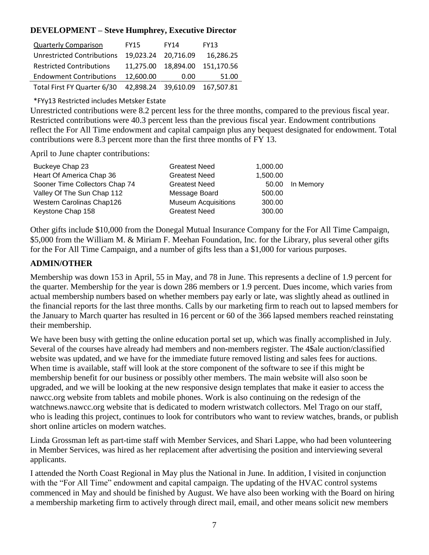## **DEVELOPMENT – Steve Humphrey, Executive Director**

| <b>Quarterly Comparison</b>       | <b>FY15</b> | <b>FY14</b> | <b>FY13</b> |
|-----------------------------------|-------------|-------------|-------------|
| <b>Unrestricted Contributions</b> | 19,023.24   | 20.716.09   | 16,286.25   |
| <b>Restricted Contributions</b>   | 11,275.00   | 18,894.00   | 151,170.56  |
| <b>Endowment Contributions</b>    | 12.600.00   | 0.00        | 51.00       |
| Total First FY Quarter 6/30       | 42.898.24   | 39,610.09   | 167,507.81  |

\*FYy13 Restricted includes Metsker Estate

Unrestricted contributions were 8.2 percent less for the three months, compared to the previous fiscal year. Restricted contributions were 40.3 percent less than the previous fiscal year. Endowment contributions reflect the For All Time endowment and capital campaign plus any bequest designated for endowment. Total contributions were 8.3 percent more than the first three months of FY 13.

April to June chapter contributions:

| Buckeye Chap 23                | <b>Greatest Need</b>       | 1,000.00 |           |
|--------------------------------|----------------------------|----------|-----------|
| Heart Of America Chap 36       | <b>Greatest Need</b>       | 1,500.00 |           |
| Sooner Time Collectors Chap 74 | <b>Greatest Need</b>       | 50.00    | In Memory |
| Valley Of The Sun Chap 112     | Message Board              | 500.00   |           |
| Western Carolinas Chap126      | <b>Museum Acquisitions</b> | 300.00   |           |
| Keystone Chap 158              | <b>Greatest Need</b>       | 300.00   |           |

Other gifts include \$10,000 from the Donegal Mutual Insurance Company for the For All Time Campaign, \$5,000 from the William M. & Miriam F. Meehan Foundation, Inc. for the Library, plus several other gifts for the For All Time Campaign, and a number of gifts less than a \$1,000 for various purposes.

## **ADMIN/OTHER**

Membership was down 153 in April, 55 in May, and 78 in June. This represents a decline of 1.9 percent for the quarter. Membership for the year is down 286 members or 1.9 percent. Dues income, which varies from actual membership numbers based on whether members pay early or late, was slightly ahead as outlined in the financial reports for the last three months. Calls by our marketing firm to reach out to lapsed members for the January to March quarter has resulted in 16 percent or 60 of the 366 lapsed members reached reinstating their membership.

We have been busy with getting the online education portal set up, which was finally accomplished in July. Several of the courses have already had members and non-members register. The 4\$ale auction/classified website was updated, and we have for the immediate future removed listing and sales fees for auctions. When time is available, staff will look at the store component of the software to see if this might be membership benefit for our business or possibly other members. The main website will also soon be upgraded, and we will be looking at the new responsive design templates that make it easier to access the nawcc.org website from tablets and mobile phones. Work is also continuing on the redesign of the watchnews.nawcc.org website that is dedicated to modern wristwatch collectors. Mel Trago on our staff, who is leading this project, continues to look for contributors who want to review watches, brands, or publish short online articles on modern watches.

Linda Grossman left as part-time staff with Member Services, and Shari Lappe, who had been volunteering in Member Services, was hired as her replacement after advertising the position and interviewing several applicants.

I attended the North Coast Regional in May plus the National in June. In addition, I visited in conjunction with the "For All Time" endowment and capital campaign. The updating of the HVAC control systems commenced in May and should be finished by August. We have also been working with the Board on hiring a membership marketing firm to actively through direct mail, email, and other means solicit new members